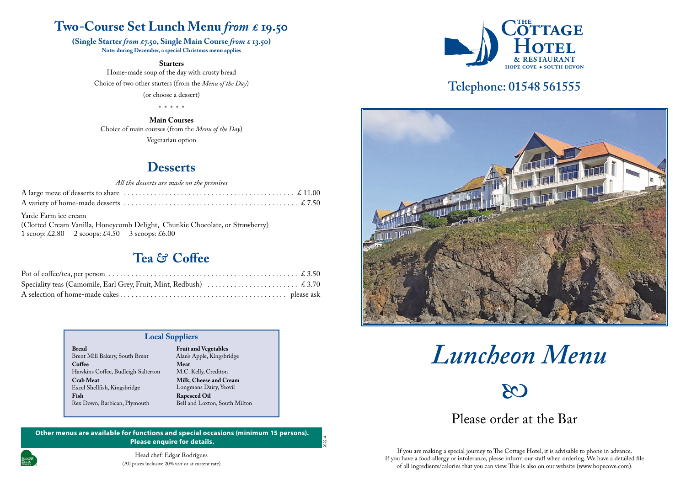



# **& RESTAURANT** *Luncheon Menu*

### Please order at the Bar

(All prices inclusive 20% var or at current rate) Head chef: Edgar Rodrigues

If you are making a special journey to The Cottage Hotel, it is advisable to phone in advance. If you have a food allergy or intolerance, please inform our staff when ordering. We have a detailed file of all ingredients/calories that you can view. This is also on our website (www.hopecove.com).

# **Telephone: 01548 561555**

### **Two-Course Set Lunch Menu** *from* **£ 19.50**

**(Single Starter** *from* **£7.50, Single Main Course** *from* **£ 13.50) Note: during December, a special Christmas menu applies**

> **Starters** Home-made soup of the day with crusty bread Choice of two other starters (from the *Menu of the Day*) (or choose a dessert)

> > \* \* \* \* \*

**Main Courses** Choice of main courses (from the *Menu of the Day*) Vegetarian option

#### **Desserts**

#### *All the desserts are made on the premises*

| Yarde Farm ice cream                                                         |  |
|------------------------------------------------------------------------------|--|
| (Clotted Cream Vanilla, Honeycomb Delight, Chunkie Chocolate, or Strawberry) |  |

1 scoop: £2.80 2 scoops: £4.50 3 scoops: £6.00

### **Tea** *&* **Coffee**



**Other menus are available for functions and special occasions (minimum 15 persons). Please enquire for details.**

#### **Local Suppliers**

| <b>Bread</b>                       |
|------------------------------------|
| Brent Mill Bakery, South Brent     |
| Coffee                             |
| Hawkins Coffee, Budleigh Salterton |
| <b>Crab Meat</b>                   |
| Excel Shellfish, Kingsbridge       |
| Fish                               |
| Rex Down, Barbican, Plymouth       |
|                                    |

#### **Fruit and Vegetables** Alan's Apple, Kingsbridge **Meat** M.C. Kelly, Crediton **Milk, Cheese and Cream** Longmans Dairy, Yeovil **Rapeseed Oil** Bell and Loxton, South Milton

2022-4